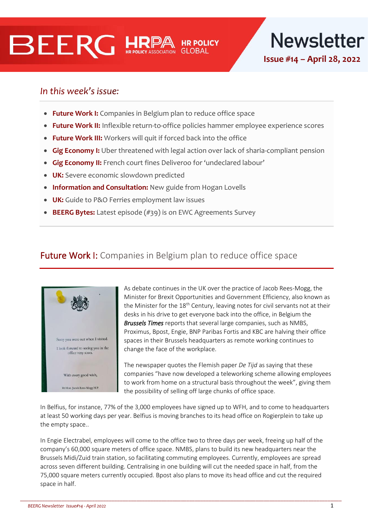# **BEERG HRI**

**Newsletter** 

**Issue #14 – April 28, 2022**

# In this week's issue:

- **Future Work I:** Companies in Belgium plan to reduce office space
- **Future Work II:** Inflexible return-to-office policies hammer employee experience scores
- **Future Work III:** Workers will quit if forced back into the office
- **Gig Economy I:** Uber threatened with legal action over lack of sharia-compliant pension
- **Gig Economy II:** French court fines Deliveroo for 'undeclared labour'
- **UK:** Severe economic slowdown predicted
- **Information and Consultation:** New guide from Hogan Lovells
- **UK:** Guide to P&O Ferries employment law issues
- **BEERG Bytes:** Latest episode (#39) is on EWC Agreements Survey

# **Future Work I:** Companies in Belgium plan to reduce office space



As debate continues in the UK over the practice of Jacob Rees-Mogg, the Minister for Brexit Opportunities and Government Efficiency, also known as the Minister for the 18<sup>th</sup> Century, leaving notes for civil servants not at their desks in his drive to get everyone back into the office, in Belgium the *Brussels Times* reports that several large companies, such as NMBS, Proximus, Bpost, Engie, BNP Paribas Fortis and KBC are halving their office spaces in their Brussels headquarters as remote working continues to change the face of the workplace.

The newspaper quotes the Flemish paper *De Tijd* as saying that these companies "have now developed a teleworking scheme allowing employees to work from home on a structural basis throughout the week", giving them the possibility of selling off large chunks of office space.

In Belfius, for instance, 77% of the 3,000 employees have signed up to WFH, and to come to headquarters at least 50 working days per year. Belfius is moving branches to its head office on Rogierplein to take up the empty space..

In Engie Electrabel, employees will come to the office two to three days per week, freeing up half of the company's 60,000 square meters of office space. NMBS, plans to build its new headquarters near the Brussels Midi/Zuid train station, so facilitating commuting employees. Currently, employees are spread across seven different building. Centralising in one building will cut the needed space in half, from the 75,000 square meters currently occupied. Bpost also plans to move its head office and cut the required space in half.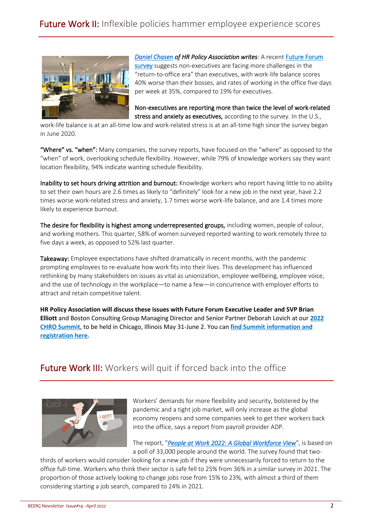

*[Daniel Chasen](https://www.hrpolicy.org/biographies/authors/daniel-chasen/) of HR Policy Association writes:* A recent [Future Forum](https://futureforum.com/wp-content/uploads/2022/04/Future-Forum-Pulse-Report-April-2022.pdf)  [survey](https://futureforum.com/wp-content/uploads/2022/04/Future-Forum-Pulse-Report-April-2022.pdf) suggests non-executives are facing more challenges in the "return-to-office era" than executives, with work-life balance scores 40% worse than their bosses, and rates of working in the office five days per week at 35%, compared to 19% for executives.

Non-executives are reporting more than twice the level of work-related stress and anxiety as executives, according to the survey. In the U.S.,

work-life balance is at an all-time low and work-related stress is at an all-time high since the survey began in June 2020.

"Where" vs. "when": Many companies, the survey reports, have focused on the "where" as opposed to the "when" of work, overlooking schedule flexibility. However, while 79% of knowledge workers say they want location flexibility, 94% indicate wanting schedule flexibility.

Inability to set hours driving attrition and burnout: Knowledge workers who report having little to no ability to set their own hours are 2.6 times as likely to "definitely" look for a new job in the next year, have 2.2 times worse work-related stress and anxiety, 1.7 times worse work-life balance, and are 1.4 times more likely to experience burnout.

The desire for flexibility is highest among underrepresented groups, including women, people of colour, and working mothers. This quarter, 58% of women surveyed reported wanting to work remotely three to five days a week, as opposed to 52% last quarter.

Takeaway: Employee expectations have shifted dramatically in recent months, with the pandemic prompting employees to re-evaluate how work fits into their lives. This development has influenced rethinking by many stakeholders on issues as vital as unionization, employee wellbeing, employee voice, and the use of technology in the workplace—to name a few—in concurrence with employer efforts to attract and retain competitive talent.

**HR Policy Association will discuss these issues with Future Forum Executive Leader and SVP Brian Elliott** and Boston Consulting Group Managing Director and Senior Partner Deborah Lovich at our **[2022](https://www.hrpolicy.org/HRPolicy/media/Meeting/2022/05/2022_CHRO_Summit_Program_M.pdf)  [CHRO Summit](https://www.hrpolicy.org/HRPolicy/media/Meeting/2022/05/2022_CHRO_Summit_Program_M.pdf)**, to be held in Chicago, Illinois May 31-June 2. You can **[find Summit information and](https://hrpolicy.force.com/ltememberportal/s/lt-event?id=a1Y1U000004cNbJUAU)  [registration here.](https://hrpolicy.force.com/ltememberportal/s/lt-event?id=a1Y1U000004cNbJUAU)**

# Future Work III: Workers will quit if forced back into the office



Workers' demands for more flexibility and security, bolstered by the pandemic and a tight job market, will only increase as the global economy reopens and some companies seek to get their workers back into the office, says a report from payroll provider ADP.

The report, "*[People at Work 2022: A Global Workforce View](https://c212.net/c/link/?t=0&l=en&o=3513711-1&h=1988000083&u=https%3A%2F%2Fwww.adpri.org%2Fresearch%2Fpeople-at-work-2022-a-global-workforce-view&a=People+at+Work+2022%3A+A+Global+Workforce+View)*", is based on a poll of 33,000 people around the world. The survey found that two-

thirds of workers would consider looking for a new job if they were unnecessarily forced to return to the office full-time. Workers who think their sector is safe fell to 25% from 36% in a similar survey in 2021. The proportion of those actively looking to change jobs rose from 15% to 23%, with almost a third of them considering starting a job search, compared to 24% in 2021.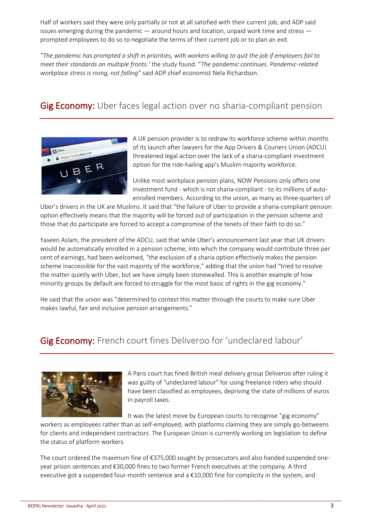Half of workers said they were only partially or not at all satisfied with their current job, and ADP said issues emerging during the pandemic  $-$  around hours and location, unpaid work time and stress  $$ prompted employees to do so to negotiate the terms of their current job or to plan an exit.

*"The pandemic has prompted a shift in priorities, with workers willing to quit the job if employers fail to meet their standards on multiple fronts.'* the study found. "*The pandemic continues. Pandemic-related workplace stress is rising, not falling"* said ADP chief economist Nela Richardson.

## Gig Economy: Uber faces legal action over no sharia-compliant pension



A UK pension provider is to redraw its workforce scheme within months of its launch after lawyers for the App Drivers & Couriers Union (ADCU) threatened legal action over the lack of a sharia-compliant investment option for the ride-hailing app's Muslim-majority workforce.

Unlike most workplace pension plans, NOW Pensions only offers one investment fund - which is not sharia-compliant - to its millions of autoenrolled members. According to the union, as many as three-quarters of

Uber's drivers in the UK are Muslims. It said that "the failure of Uber to provide a sharia-compliant pension option effectively means that the majority will be forced out of participation in the pension scheme and those that do participate are forced to accept a compromise of the tenets of their faith to do so."

Yaseen Aslam, the president of the ADCU, said that while Uber's announcement last year that UK drivers would be automatically enrolled in a pension scheme, into which the company would contribute three per cent of earnings, had been welcomed, "the exclusion of a sharia option effectively makes the pension scheme inaccessible for the vast majority of the workforce," adding that the union had "tried to resolve the matter quietly with Uber, but we have simply been stonewalled. This is another example of how minority groups by default are forced to struggle for the most basic of rights in the gig economy."

He said that the union was "determined to contest this matter through the courts to make sure Uber makes lawful, fair and inclusive pension arrangements."

### Gig Economy: French court fines Deliveroo for 'undeclared labour'



A Paris court has fined British meal delivery group Deliveroo after ruling it was guilty of "undeclared labour" for using freelance riders who should have been classified as employees, depriving the state of millions of euros in payroll taxes.

It was the latest move by European courts to recognise "gig economy"

workers as employees rather than as self-employed, with platforms claiming they are simply go-betweens for clients and independent contractors. The European Union is currently working on legislation to define the status of platform workers.

The court ordered the maximum fine of €375,000 sought by prosecutors and also handed suspended oneyear prison sentences and €30,000 fines to two former French executives at the company. A third executive got a suspended four-month sentence and a €10,000 fine for complicity in the system, and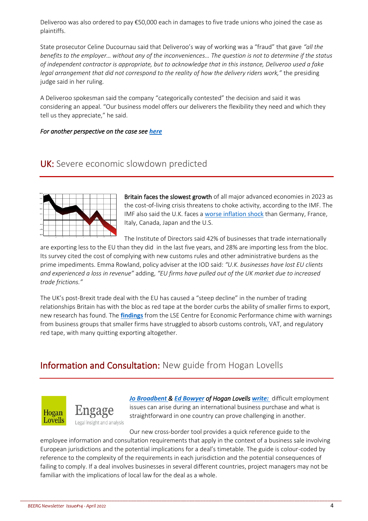Deliveroo was also ordered to pay €50,000 each in damages to five trade unions who joined the case as plaintiffs.

State prosecutor Celine Ducournau said that Deliveroo's way of working was a "fraud" that gave *"all the benefits to the employer… without any of the inconveniences… The question is not to determine if the status of independent contractor is appropriate, but to acknowledge that in this instance, Deliveroo used a fake legal arrangement that did not correspond to the reality of how the delivery riders work,"* the presiding judge said in her ruling.

A Deliveroo spokesman said the company "categorically contested" the decision and said it was considering an appeal. "Our business model offers our deliverers the flexibility they need and which they tell us they appreciate," he said.

### *For another perspective on the case see [here](https://braveneweurope.com/the-offence-of-concealed-work-suspended-prison-sentences-and-maximum-fine-for-deliveroo-france)*

### UK: Severe economic slowdown predicted



Britain faces the slowest growth of all major advanced economies in 2023 as the cost-of-living crisis threatens to choke activity, according to the IMF. The IMF also said the U.K. faces a [worse inflation shock](https://link.mail.bloombergbusiness.com/click/27441157.16333/aHR0cHM6Ly93d3cuYmxvb21iZXJnLmNvbS9uZXdzL2FydGljbGVzLzIwMjItMDQtMTkvdS1rLWZhY2VzLXdvcnN0LWluZmxhdGlvbi1zaG9jay1hbW9uZy1nLTctbmF0aW9ucy1pbWYtd2FybnM_Y21waWQ9QkJCWFQwNDIxMjJfQklaJnV0bV9tZWRpdW09ZW1haWwmdXRtX3NvdXJjZT1uZXdzbGV0dGVyJnV0bV90ZXJtPTIyMDQyMSZ1dG1fY2FtcGFpZ249YnJleGl0/579779eabcb59cc24a8b46d9B555c56d8) than Germany, France, Italy, Canada, Japan and the U.S.

The Institute of Directors said 42% of businesses that trade internationally are exporting less to the EU than they did in the last five years, and 28% are importing less from the bloc. Its survey cited the cost of complying with new customs rules and other administrative burdens as the prime impediments. Emma Rowland, policy adviser at the IOD said: *"U.K. businesses have lost EU clients and experienced a loss in revenue"* adding, *"EU firms have pulled out of the UK market due to increased trade frictions."*

The UK's post-Brexit trade deal with the EU has caused a "steep decline" in the number of trading relationships Britain has with the bloc as red tape at the border curbs the ability of smaller firms to export, new research has found. The **[findings](https://cep.lse.ac.uk/_NEW/PUBLICATIONS/abstract.asp?index=9235)** from the LSE Centre for Economic Performance chime with warnings from business groups that smaller firms have struggled to absorb customs controls, VAT, and regulatory red tape, with many quitting exporting altogether.

### Information and Consultation: New guide from Hogan Lovells



*[Jo Broadbent](https://www.lexology.com/83/author/Jo_Broadbent/) & [Ed Bowyer](https://www.lexology.com/83/author/Ed_Bowyer/) of Hogan Lovells [write:](https://www.engage.hoganlovells.com/knowledgeservices/news/european-information-and-consultation-in-business-sales-comparative-guide)* difficult employment issues can arise during an international business purchase and what is straightforward in one country can prove challenging in another.

Our new cross-border tool provides a quick reference guide to the employee information and consultation requirements that apply in the context of a business sale involving European jurisdictions and the potential implications for a deal's timetable. The guide is colour-coded by reference to the complexity of the requirements in each jurisdiction and the potential consequences of failing to comply. If a deal involves businesses in several different countries, project managers may not be familiar with the implications of local law for the deal as a whole.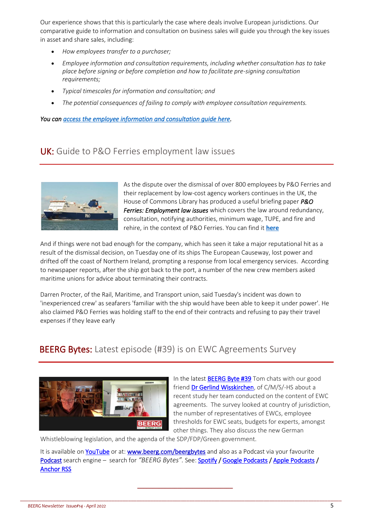Our experience shows that this is particularly the case where deals involve European jurisdictions. Our comparative guide to information and consultation on business sales will guide you through the key issues in asset and share sales, including:

- *How employees transfer to a purchaser;*
- *Employee information and consultation requirements, including whether consultation has to take place before signing or before completion and how to facilitate pre-signing consultation requirements;*
- *Typical timescales for information and consultation; and*
- *The potential consequences of failing to comply with employee consultation requirements.*

*You can [access the employee information and consultation guide here.](http://www.engage.hoganlovells.com/knowledgeservices/business-sales-european-information-and-consultation-requirements)* 

### UK: Guide to P&O Ferries employment law issues



As the dispute over the dismissal of over 800 employees by P&O Ferries and their replacement by low-cost agency workers continues in the UK, the House of Commons Library has produced a useful briefing paper *P&O Ferries: Employment law issues* which covers the law around redundancy, consultation, notifying authorities, minimum wage, TUPE, and fire and rehire, in the context of P&O Ferries. You can find it **[here](https://commonslibrary.parliament.uk/research-briefings/cbp-9529/)**

And if things were not bad enough for the company, which has seen it take a major reputational hit as a result of the dismissal decision, on Tuesday one of its ships The European Causeway, lost power and drifted off the coast of Northern Ireland, prompting a response from local emergency services. According to newspaper reports, after the ship got back to the port, a number of the new crew members asked maritime unions for advice about terminating their contracts.

Darren Procter, of the Rail, Maritime, and Transport union, said Tuesday's incident was down to 'inexperienced crew' as seafarers 'familiar with the ship would have been able to keep it under power'. He also claimed P&O Ferries was holding staff to the end of their contracts and refusing to pay their travel expenses if they leave early

# **BEERG Bytes:** Latest episode (#39) is on EWC Agreements Survey



In the latest **[BEERG Byte #39](https://youtu.be/j3IIv2NIB4Y)** Tom chats with our good friend [Dr Gerlind Wisskirchen,](https://cms.law/en/deu/people/gerlind-wisskirchen) of C/M/S/-HS about a recent study her team conducted on the content of EWC agreements. The survey looked at country of jurisdiction, the number of representatives of EWCs, employee thresholds for EWC seats, budgets for experts, amongst other things. They also discuss the new German

Whistleblowing legislation, and the agenda of the SDP/FDP/Green government.

It is available on [YouTube o](https://youtu.be/j3IIv2NIB4Y)r at: [www.beerg.com/beergbytes](http://www.beerg.com/beergbytes) and also as a Podcast via your favourite [Podcast](https://anchor.fm/beerg) search engine – search for *"BEERG Bytes".* See[: Spotify /](https://open.spotify.com/show/7KdyFigcSJwK674gpmOBVJ) [Google Podcasts](https://podcasts.google.com/feed/aHR0cHM6Ly9hbmNob3IuZm0vcy8zZjE1OTdiNC9wb2RjYXN0L3Jzcw==) / [Apple Podcasts /](https://podcasts.apple.com/ie/podcast/beerg-bytes/id1539666418) [Anchor RSS](https://anchor.fm/s/3f1597b4/podcast/rss) 

\_\_\_\_\_\_\_\_\_\_\_\_\_\_\_\_\_\_\_\_\_\_\_\_\_\_\_\_\_\_\_\_\_\_\_\_\_\_\_\_\_\_\_\_\_\_\_\_\_\_\_\_\_\_\_\_\_\_\_\_\_\_\_\_\_\_\_\_\_\_\_\_\_\_\_\_\_\_\_\_\_\_\_\_\_\_\_\_\_\_\_\_\_\_\_\_\_\_\_\_\_\_\_\_\_\_\_\_\_\_\_\_\_\_\_\_

\_\_\_\_\_\_\_\_\_\_\_\_\_\_\_\_\_\_\_\_\_\_\_\_\_\_\_\_\_\_\_